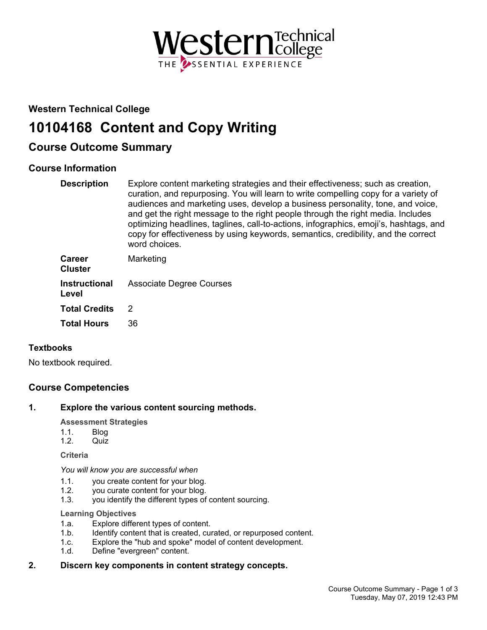

## **Western Technical College**

# **10104168 Content and Copy Writing**

# **Course Outcome Summary**

## **Course Information**

| <b>Description</b> | Explore content marketing strategies and their effectiveness; such as creation,<br>curation, and repurposing. You will learn to write compelling copy for a variety of<br>audiences and marketing uses, develop a business personality, tone, and voice,<br>and get the right message to the right people through the right media. Includes<br>optimizing headlines, taglines, call-to-actions, infographics, emoji's, hashtags, and<br>copy for effectiveness by using keywords, semantics, credibility, and the correct<br>word choices. |
|--------------------|--------------------------------------------------------------------------------------------------------------------------------------------------------------------------------------------------------------------------------------------------------------------------------------------------------------------------------------------------------------------------------------------------------------------------------------------------------------------------------------------------------------------------------------------|
|                    |                                                                                                                                                                                                                                                                                                                                                                                                                                                                                                                                            |

| Career<br><b>Cluster</b> | Marketing                                     |
|--------------------------|-----------------------------------------------|
| Level                    | <b>Instructional</b> Associate Degree Courses |
| <b>Total Credits</b>     | $\mathcal{P}$                                 |
| Total Hours              | 36                                            |

## **Textbooks**

No textbook required.

## **Course Competencies**

## **1. Explore the various content sourcing methods.**

## **Assessment Strategies**

- 1.1. Blog
- 1.2. Quiz

**Criteria**

*You will know you are successful when*

- 1.1. you create content for your blog.<br>1.2. vou curate content for your blog.
- 1.2. you curate content for your blog.<br>1.3. vou identify the different types of
- you identify the different types of content sourcing.

#### **Learning Objectives**

- 1.a. Explore different types of content.
- 1.b. Identify content that is created, curated, or repurposed content.
- 1.c. Explore the "hub and spoke" model of content development.
- 1.d. Define "evergreen" content.

## **2. Discern key components in content strategy concepts.**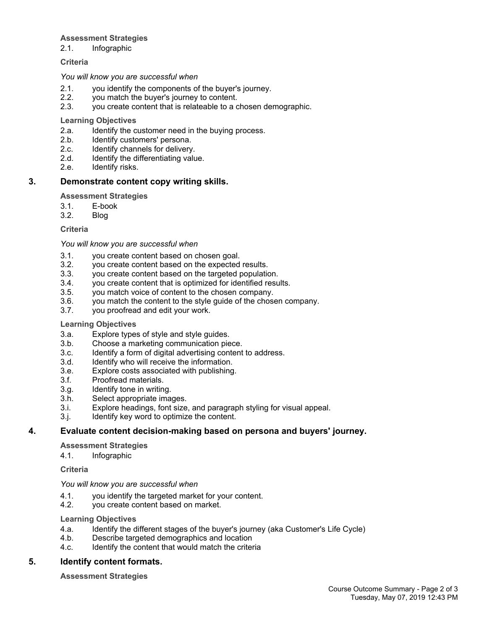#### **Assessment Strategies**

2.1. Infographic

#### **Criteria**

#### *You will know you are successful when*

- 2.1. you identify the components of the buyer's journey.
- 2.2. you match the buyer's journey to content.
- 2.3. you create content that is relateable to a chosen demographic.

#### **Learning Objectives**

- 2.a. Identify the customer need in the buying process.<br>2.b. Identify customers' persona.
- Identify customers' persona.
- 2.c. Identify channels for delivery.
- 2.d. Identify the differentiating value.<br>2.e. Identify risks.
- Identify risks.

## **3. Demonstrate content copy writing skills.**

## **Assessment Strategies**

- 3.1. E-book
- 3.2. Blog

#### **Criteria**

#### *You will know you are successful when*

- 3.1. you create content based on chosen goal.
- 3.2. you create content based on the expected results.
- 3.3. you create content based on the targeted population.
- 3.4. you create content that is optimized for identified results.
- 3.5. you match voice of content to the chosen company.
- 3.6. you match the content to the style guide of the chosen company.
- 3.7. you proofread and edit your work.

## **Learning Objectives**

- 3.a. Explore types of style and style guides.
- 3.b. Choose a marketing communication piece.
- 3.c. Identify a form of digital advertising content to address.
- 3.d. Identify who will receive the information.
- 3.e. Explore costs associated with publishing.
- 3.f. Proofread materials.
- 3.g. Identify tone in writing.
- 3.h. Select appropriate images.
- 3.i. Explore headings, font size, and paragraph styling for visual appeal.
- 3.j. Identify key word to optimize the content.

## **4. Evaluate content decision-making based on persona and buyers' journey.**

## **Assessment Strategies**

#### 4.1. Infographic

**Criteria**

#### *You will know you are successful when*

- 4.1. you identify the targeted market for your content.
- 4.2. you create content based on market.

#### **Learning Objectives**

- 4.a. Identify the different stages of the buyer's journey (aka Customer's Life Cycle)
- 4.b. Describe targeted demographics and location
- 4.c. Identify the content that would match the criteria

## **5. Identify content formats.**

**Assessment Strategies**